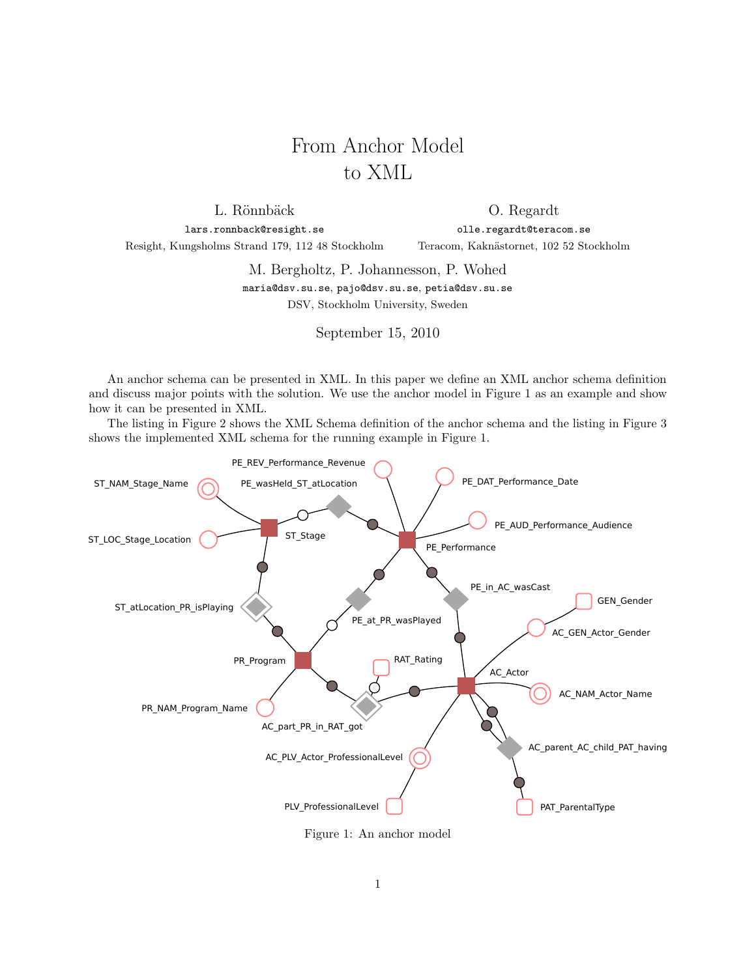## From Anchor Model to XML

L. Rönnbäck lars.ronnback@resight.se

O. Regardt olle.regardt@teracom.se

Resight, Kungsholms Strand 179, 112 48 Stockholm

Teracom, Kaknästornet, 102 52 Stockholm

M. Bergholtz, P. Johannesson, P. Wohed maria@dsv.su.se, pajo@dsv.su.se, petia@dsv.su.se

DSV, Stockholm University, Sweden

September 15, 2010

An anchor schema can be presented in XML. In this paper we define an XML anchor schema definition and discuss major points with the solution. We use the anchor model in Figure 1 as an example and show how it can be presented in XML.

The listing in Figure 2 shows the XML Schema definition of the anchor schema and the listing in Figure 3 shows the implemented XML schema for the running example in Figure 1.



Figure 1: An anchor model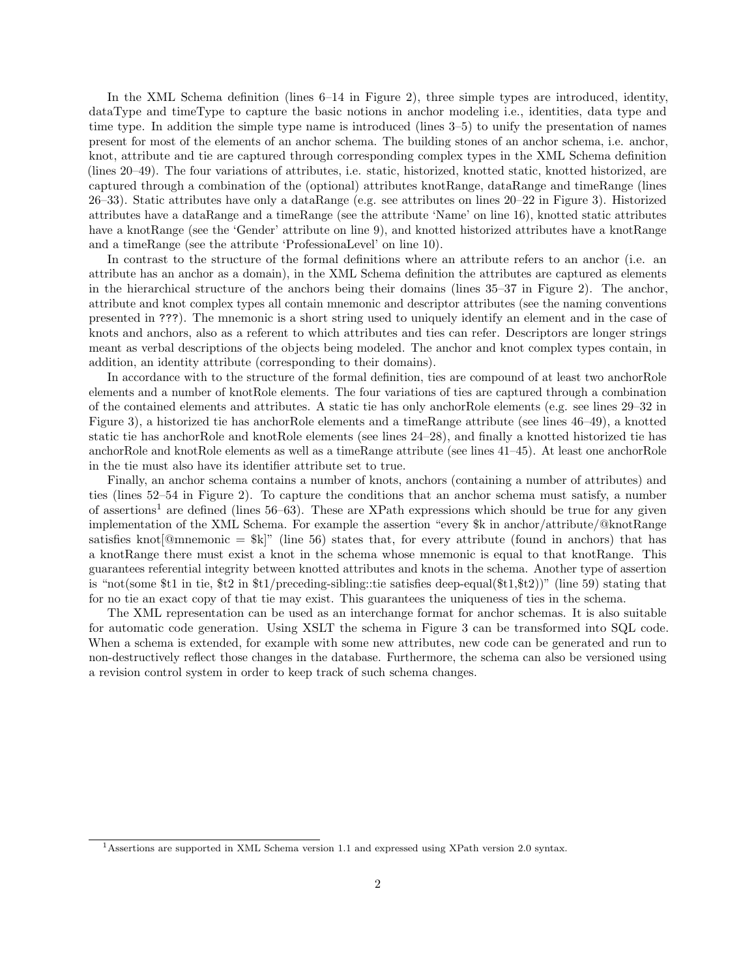In the XML Schema definition (lines 6–14 in Figure 2), three simple types are introduced, identity, dataType and timeType to capture the basic notions in anchor modeling i.e., identities, data type and time type. In addition the simple type name is introduced (lines 3–5) to unify the presentation of names present for most of the elements of an anchor schema. The building stones of an anchor schema, i.e. anchor, knot, attribute and tie are captured through corresponding complex types in the XML Schema definition (lines 20–49). The four variations of attributes, i.e. static, historized, knotted static, knotted historized, are captured through a combination of the (optional) attributes knotRange, dataRange and timeRange (lines 26–33). Static attributes have only a dataRange (e.g. see attributes on lines 20–22 in Figure 3). Historized attributes have a dataRange and a timeRange (see the attribute 'Name' on line 16), knotted static attributes have a knotRange (see the 'Gender' attribute on line 9), and knotted historized attributes have a knotRange and a timeRange (see the attribute 'ProfessionaLevel' on line 10).

In contrast to the structure of the formal definitions where an attribute refers to an anchor (i.e. an attribute has an anchor as a domain), in the XML Schema definition the attributes are captured as elements in the hierarchical structure of the anchors being their domains (lines 35–37 in Figure 2). The anchor, attribute and knot complex types all contain mnemonic and descriptor attributes (see the naming conventions presented in ???). The mnemonic is a short string used to uniquely identify an element and in the case of knots and anchors, also as a referent to which attributes and ties can refer. Descriptors are longer strings meant as verbal descriptions of the objects being modeled. The anchor and knot complex types contain, in addition, an identity attribute (corresponding to their domains).

In accordance with to the structure of the formal definition, ties are compound of at least two anchorRole elements and a number of knotRole elements. The four variations of ties are captured through a combination of the contained elements and attributes. A static tie has only anchorRole elements (e.g. see lines 29–32 in Figure 3), a historized tie has anchorRole elements and a timeRange attribute (see lines 46–49), a knotted static tie has anchorRole and knotRole elements (see lines 24–28), and finally a knotted historized tie has anchorRole and knotRole elements as well as a timeRange attribute (see lines 41–45). At least one anchorRole in the tie must also have its identifier attribute set to true.

Finally, an anchor schema contains a number of knots, anchors (containing a number of attributes) and ties (lines 52–54 in Figure 2). To capture the conditions that an anchor schema must satisfy, a number of assertions<sup>1</sup> are defined (lines  $56-63$ ). These are XPath expressions which should be true for any given implementation of the XML Schema. For example the assertion "every \$k in anchor/attribute/@knotRange satisfies knot  $[Q$ mnemonic = \$k|" (line 56) states that, for every attribute (found in anchors) that has a knotRange there must exist a knot in the schema whose mnemonic is equal to that knotRange. This guarantees referential integrity between knotted attributes and knots in the schema. Another type of assertion is "not(some \$t1 in tie, \$t2 in \$t1/preceding-sibling::tie satisfies deep-equal(\$t1,\$t2))" (line 59) stating that for no tie an exact copy of that tie may exist. This guarantees the uniqueness of ties in the schema.

The XML representation can be used as an interchange format for anchor schemas. It is also suitable for automatic code generation. Using XSLT the schema in Figure 3 can be transformed into SQL code. When a schema is extended, for example with some new attributes, new code can be generated and run to non-destructively reflect those changes in the database. Furthermore, the schema can also be versioned using a revision control system in order to keep track of such schema changes.

<sup>1</sup>Assertions are supported in XML Schema version 1.1 and expressed using XPath version 2.0 syntax.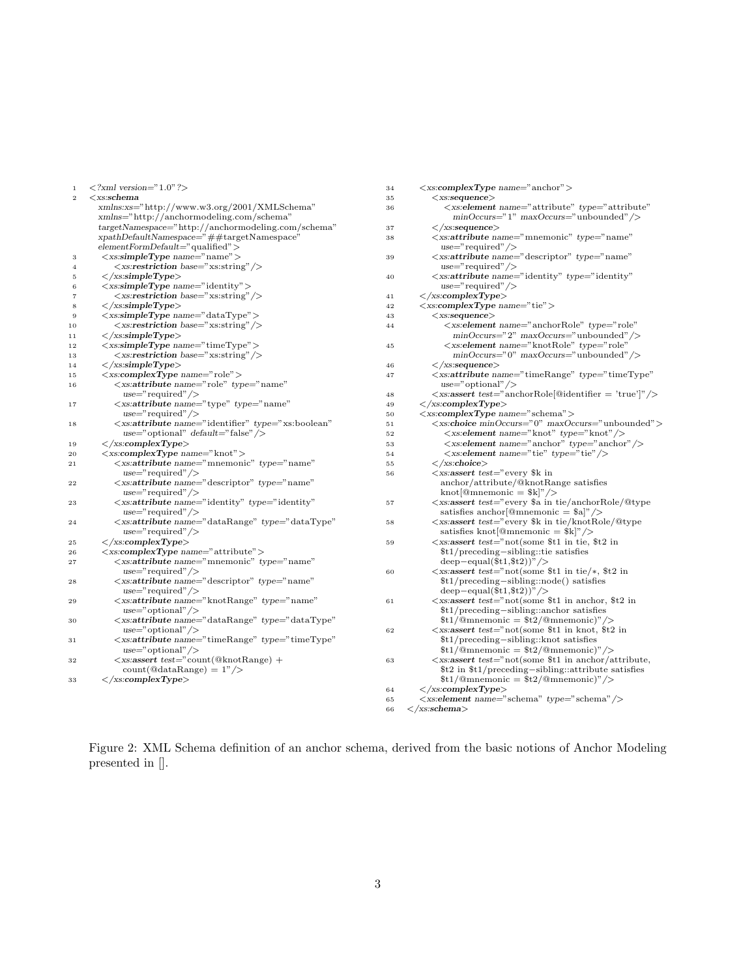| $\,1\,$        | $\langle ?xm1 \rangle$ version="1.0" ?>                                                                                                                     | 34     | $\langle x s : complex Type \ name = "anchor" \rangle$                                                                                                                                                                                                            |  |                                                                     |
|----------------|-------------------------------------------------------------------------------------------------------------------------------------------------------------|--------|-------------------------------------------------------------------------------------------------------------------------------------------------------------------------------------------------------------------------------------------------------------------|--|---------------------------------------------------------------------|
| $\,2\,$        | $<$ xs:schema                                                                                                                                               | $3\,5$ | $<$ xs:sequence $>$                                                                                                                                                                                                                                               |  |                                                                     |
|                | xmlns:xs="http://www.w3.org/2001/XMLSchema"<br>xmlns="http://anchormodeling.com/schema"                                                                     | 36     | <xs:element <br="" name="attribute" type="attribute"><math>\text{minOccurs} = "1" \text{ maxOccurs} = " \text{unbounded} \text{'} \text{/}</math></xs:element>                                                                                                    |  |                                                                     |
|                | $targetNamespace="http://anchormodeling.com/schema"$                                                                                                        | 37     | $\langle$ /xs:sequence $\rangle$                                                                                                                                                                                                                                  |  |                                                                     |
|                | $x path DefaultName space = "##targetName space"$                                                                                                           | 38     | $\langle x$ s:attribute name="mnemonic" type="name"                                                                                                                                                                                                               |  |                                                                     |
|                | $element FormDefault="qualified"$                                                                                                                           |        | $use="regulared"$                                                                                                                                                                                                                                                 |  |                                                                     |
| 3              | $\langle x \text{s:simpleType name} = "name" \rangle$                                                                                                       | 39     | $\langle x$ s: attribute name="descriptor" type="name"                                                                                                                                                                                                            |  |                                                                     |
| $\overline{4}$ | $\langle x \text{ss:restriction} \text{has} = \text{xs:string} \rangle$                                                                                     |        | $use="request"$                                                                                                                                                                                                                                                   |  |                                                                     |
| 5              | $\langle \rangle / \text{xs:} \text{simpleType} \rangle$                                                                                                    | 40     | $\langle x$ s: attribute name="identity" type="identity"                                                                                                                                                                                                          |  |                                                                     |
| 6              | $<$ xs:simpleType name="identity">                                                                                                                          |        | $use="request"$                                                                                                                                                                                                                                                   |  |                                                                     |
| $\overline{7}$ | $\langle x \text{ss:restriction} \text{has} = \text{xs:string} \rangle$                                                                                     | 41     | $\langle$ /xs:complexType $\rangle$                                                                                                                                                                                                                               |  |                                                                     |
| 8              | $\mathopen{<}/\text{x}\text{s}$ :simpleType $\mathclose{>}$                                                                                                 | 42     | $\langle x s: complex Type \ name="tie" \rangle$                                                                                                                                                                                                                  |  |                                                                     |
| 9              | $<$ xs:simpleType name="dataType">                                                                                                                          | 43     | $\langle$ xs:sequence $\rangle$                                                                                                                                                                                                                                   |  |                                                                     |
| 10             | $\langle$ xs:restriction base="xs:string"/>                                                                                                                 | 44     | <xs:element <="" name="anchorRole" td="" type="role"></xs:element>                                                                                                                                                                                                |  |                                                                     |
| 11             | $\langle \rangle / \text{xs:} \text{simpleType} \rangle$                                                                                                    |        | $minOccurs=" 2" maxOccurs=" unbounded" / \rangle$                                                                                                                                                                                                                 |  |                                                                     |
| 12             | $\langle x \text{s:simpleType name} = "timeType" \rangle$                                                                                                   | 45     | <xs:element <="" name="knotRole" td="" type="role"></xs:element>                                                                                                                                                                                                  |  |                                                                     |
| 13             | $\langle x \text{ss:restriction} \text{has} = \text{xs:string} \rangle$                                                                                     |        | $minOccurs="0" maxOccurs="unbounded"$                                                                                                                                                                                                                             |  |                                                                     |
| 14             | $\langle$ /xs:simpleType $\rangle$                                                                                                                          | 46     | $\langle$ /xs:sequence $\rangle$                                                                                                                                                                                                                                  |  |                                                                     |
| 15             | $\langle x s: complex Type \ name="role" \rangle$                                                                                                           | 47     | $\langle x$ s: attribute name="timeRange" type="timeType"                                                                                                                                                                                                         |  |                                                                     |
| 16             | <xs:attribute <="" name="role" td="" type="name"><td></td><td><math>use="optional" / &gt;</math></td></xs:attribute>                                        |        | $use="optional" / >$                                                                                                                                                                                                                                              |  |                                                                     |
|                | $use="request"$                                                                                                                                             | 48     | $\langle x \rangle$ xs: assert test="anchorRole[@identifier = 'true' " $\langle \rangle$                                                                                                                                                                          |  |                                                                     |
| 17             | $\langle x$ s: attribute name="type" type="name"                                                                                                            | 49     | $\langle$ /xs:complexType>                                                                                                                                                                                                                                        |  |                                                                     |
|                | $use="regulared"$                                                                                                                                           | 50     | $\langle x s : complex Type \ name = "schema" \rangle$                                                                                                                                                                                                            |  |                                                                     |
| 18             | <xs:attribute <="" name="identifier" td="" type="xs:boolean"><td>51</td><td><xs:choice maxoccurs="unbounded" minoccurs="0"></xs:choice></td></xs:attribute> | 51     | <xs:choice maxoccurs="unbounded" minoccurs="0"></xs:choice>                                                                                                                                                                                                       |  |                                                                     |
|                | use="optional" $default="false"$ />                                                                                                                         | 52     | <xs:element name="knot" type="knot"></xs:element>                                                                                                                                                                                                                 |  |                                                                     |
| 19             | $\langle$ /xs:complexType $\rangle$                                                                                                                         | 53     | $\langle x \rangle$ xs: element name=" anchor" type=" anchor" $\langle \rangle$                                                                                                                                                                                   |  |                                                                     |
| 20             | $\langle x s: complex Type \ name="knot" \rangle$                                                                                                           | 54     | $\langle x \rangle$ xs: element name="tie" type="tie" />                                                                                                                                                                                                          |  |                                                                     |
| 21             | $\langle x$ s:attribute name="mnemonic" type="name"                                                                                                         | 55     | $\mathopen{<}\mathopen{/}$ xs:choice $\mathclose{>}$                                                                                                                                                                                                              |  |                                                                     |
|                | $use="regulared"$                                                                                                                                           | 56     | <xs:assert <="" descriptor"="" td="" test="every \$k in&lt;/td&gt;&lt;/tr&gt;&lt;tr&gt;&lt;td&gt;22&lt;/td&gt;&lt;td&gt;&lt;xs:attribute name=" type="name"><td></td><td><math>\text{anchor}/\text{attribute}/\text{@knotRange}</math> satisfies</td></xs:assert> |  | $\text{anchor}/\text{attribute}/\text{@knotRange}$ satisfies        |
|                | $use="request"$                                                                                                                                             |        | $knot$ [@mnemonic = $k$ ]" />                                                                                                                                                                                                                                     |  |                                                                     |
| 23             | $\langle x$ s:attribute name="identity" type="identity"                                                                                                     | 57     | <xs:assert math="" request"<="" test="every \$a in tie/anchorRole/@type&lt;/td&gt;&lt;/tr&gt;&lt;tr&gt;&lt;td&gt;&lt;/td&gt;&lt;td&gt;&lt;math&gt;use="></xs:assert>                                                                                              |  | satisfies anchor $\textcircled{a}$ mnemonic = \$a $\textcircled{r}$ |
| 24             | $\langle x$ s:attribute name="dataRange" type="dataType"                                                                                                    | 58     | <xs:assert math="" request"<="" test="every \$k in tie/knotRole/@type&lt;/td&gt;&lt;/tr&gt;&lt;tr&gt;&lt;td&gt;&lt;/td&gt;&lt;td&gt;&lt;math&gt;use="></xs:assert>                                                                                                |  | satisfies knot $\textcircled{4}$ mnemonic = \$k $\mid$ "/>          |
| 25             | $\langle$ /xs:complexType $\rangle$                                                                                                                         | 59     | $\langle x \rangle$ assert test="not(some \$t1 in tie, \$t2 in                                                                                                                                                                                                    |  |                                                                     |
| 26             | $\langle x s : complex Type \ name = "attribute" \rangle$                                                                                                   |        | \$t1/preceding-sibling::tie satisfies                                                                                                                                                                                                                             |  |                                                                     |
| 27             | $\langle x$ s:attribute name="mnemonic" type="name"                                                                                                         |        | $\text{deep-equal}(\text{$\text{st1},\text{$\text{st2}$}})^{\text{''}}$ />                                                                                                                                                                                        |  |                                                                     |
|                | $use="request"$                                                                                                                                             | 60     | $\langle x \rangle$ assert test="not(some \$t1 in tie/*, \$t2 in                                                                                                                                                                                                  |  |                                                                     |
| 28             | $\langle x$ s:attribute name="descriptor" type="name"                                                                                                       |        | \$t1/preceding-sibling::node() satisfies                                                                                                                                                                                                                          |  |                                                                     |
|                | $use="request"$                                                                                                                                             |        | $\text{deep-equal}(\text{$\text{st1},\text{$\text{st2}$}})^{\prime\prime}$                                                                                                                                                                                        |  |                                                                     |
| 29             | $\langle x$ s:attribute name="knotRange" type="name"                                                                                                        | 61     | $\langle x \rangle$ assert test="not(some \$t1 in anchor, \$t2 in                                                                                                                                                                                                 |  |                                                                     |
|                | $use="optional"$                                                                                                                                            |        | \$t1/preceding-sibling::anchor satisfies                                                                                                                                                                                                                          |  |                                                                     |
| 30             | $\langle x$ s:attribute name="dataRange" type="dataType"                                                                                                    |        | $$t1/@mnemonic = $t2/@mnemonic$ "/>                                                                                                                                                                                                                               |  |                                                                     |
|                | $use="optional" / >$                                                                                                                                        | 62     | $\langle x \rangle$ assert test="not(some \$t1 in knot, \$t2 in                                                                                                                                                                                                   |  |                                                                     |
| 31             | $\langle x$ s: attribute name="timeRange" type="timeType"                                                                                                   |        | \$t1/preceding-sibling::knot satisfies                                                                                                                                                                                                                            |  |                                                                     |
|                | $use="optional"$                                                                                                                                            |        | $$t1/@mnemonic = $t2/@mnemonic$ "/>                                                                                                                                                                                                                               |  |                                                                     |
| 32             | $\langle x \rangle$ xs: assert test="count(@knotRange) +                                                                                                    | 63     | $<\!\!x\!s\!\!:\!\!assert\;test\!=\!\!"\!\operatorname{not}(\mathrm{some}\; \$\!\!t1\;in\;anchor/attribute,$                                                                                                                                                      |  |                                                                     |
|                | $count(\textcircled{a}dataRange) = 1" / \geq$                                                                                                               |        | \$t2 in \$t1/preceding-sibling::attribute satisfies                                                                                                                                                                                                               |  |                                                                     |
| 33             | $\langle$ /xs:complexType $\rangle$                                                                                                                         |        | $$t1/@m$ nemonic = $$t2/@m$ nemonic)"/>                                                                                                                                                                                                                           |  |                                                                     |
|                |                                                                                                                                                             | 64     | $\texttt{<}/\text{xs:complexType}\texttt{>}$                                                                                                                                                                                                                      |  |                                                                     |
|                |                                                                                                                                                             | 65     | $\langle x \rangle$ schement name="schema" type="schema" $\langle \rangle$                                                                                                                                                                                        |  |                                                                     |
|                |                                                                                                                                                             | 66     | $\langle$ /xs:schema>                                                                                                                                                                                                                                             |  |                                                                     |

Figure 2: XML Schema definition of an anchor schema, derived from the basic notions of Anchor Modeling presented in [].